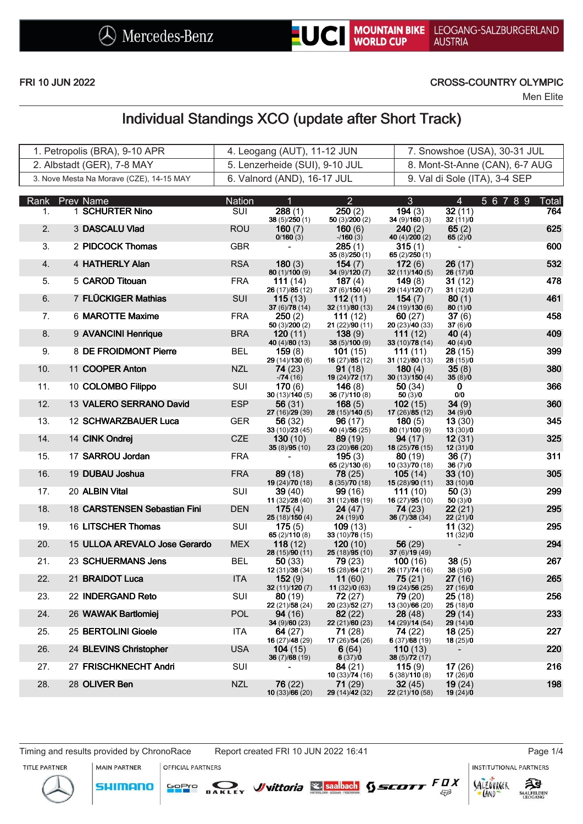

### FRI 10 JUN 2022 CROSS-COUNTRY OLYMPIC

Men Elite

# Individual Standings XCO (update after Short Track)

| 1. Petropolis (BRA), 9-10 APR_           | 4. Leogang (AUT), 11-12 JUN    | 7. Snowshoe (USA), 30-31 JUL   |
|------------------------------------------|--------------------------------|--------------------------------|
| 2. Albstadt (GER), 7-8 MAY               | 5. Lenzerheide (SUI), 9-10 JUL | 8. Mont-St-Anne (CAN), 6-7 AUG |
| 3. Nove Mesta Na Morave (CZE), 14-15 MAY | 6. Valnord (AND), 16-17 JUL    | 9. Val di Sole (ITA), 3-4 SEP  |

|                  | Rank Prev Name                | Nation     | 1                                 | $\overline{2}$                   | $\mathbf{3}$                        | $\overline{4}$         | 56789<br>Total |
|------------------|-------------------------------|------------|-----------------------------------|----------------------------------|-------------------------------------|------------------------|----------------|
| $\mathbf{1}$ .   | 1 SCHURTER Nino               | <b>SUI</b> | 288(1)<br>38(5)/250(1)            | 250(2)<br>50 $(3)/200(2)$        | 194(3)<br>34(9)/160(3)              | 32(11)<br>32(11)/0     | 764            |
| 2.               | 3 DASCALU Vlad                | <b>ROU</b> | 160 $(7)$<br>0/160(3)             | 160 $(6)$<br>$-160(3)$           | 240(2)<br>40 (4)/200 (2)            | 65 $(2)$<br>65 $(2)/0$ | 625            |
| 3.               | 2 PIDCOCK Thomas              | <b>GBR</b> |                                   | 285(1)<br>35(8)/250(1)           | 315(1)<br>65 $(2)/250(1)$           |                        | 600            |
| $\overline{4}$ . | 4 HATHERLY Alan               | <b>RSA</b> | 180(3)<br>80 (1)/100 (9)          | 154(7)<br>34 (9)/120 (7)         | 172(6)<br>32(11)/140(5)             | 26(17)<br>26(17)/0     | 532            |
| 5.               | 5 CAROD Titouan               | <b>FRA</b> | 111 $(14)$<br>26 (17)/85 (12)     | 187 $(4)$<br>37 $(6)/150(4)$     | 149(8)<br>29 (14)/120 (7)           | 31 (12)<br>31(12)/0    | 478            |
| 6.               | 7 FLÜCKIGER Mathias           | <b>SUI</b> | 115(13)<br>37 (6)/78 (14)         | 112(11)<br>32 (11)/80 (13)       | 154(7)<br>24 (19)/130 (6)           | 80(1)<br>80(1)/0       | 461            |
| 7.               | 6 MAROTTE Maxime              | <b>FRA</b> | 250(2)<br>50 $(3)/200(2)$         | 111(12)<br>21 (22)/90 (11)       | 60(27)<br>20(23)/40(33)             | 37(6)<br>37(6)/0       | 458            |
| 8.               | 9 AVANCINI Henrique           | <b>BRA</b> | 120(11)<br>40 (4)/80 (13)         | 138(9)<br>38 (5)/100 (9)         | 111 $(12)$<br>33 (10)/78 (14)       | 40 $(4)$<br>40 $(4)/0$ | 409            |
| 9.               | 8 DE FROIDMONT Pierre         | <b>BEL</b> | 159(8)<br>29 (14)/130 (6)         | <b>101</b> (15)<br>16(27)/85(12) | <b>111</b> (11)<br>31 $(12)/80(13)$ | 28(15)<br>28(15)/0     | 399            |
| 10.              | 11 COOPER Anton               | <b>NZL</b> | 74 (23)<br>$-74(16)$              | 91(18)<br>19 (24)/72 (17)        | 180(4)<br>30 $(13)/150(4)$          | 35(8)<br>35(8)/0       | 380            |
| 11.              | 10 COLOMBO Filippo            | SUI        | 170(6)<br>30(13)/140(5)           | 146(8)<br>36(7)/110(8)           | 50(34)<br>50(3)/0                   | 0<br>0/0               | 366            |
| 12.              | 13 VALERO SERRANO David       | <b>ESP</b> | 56 (31)<br>27(16)/29(39)          | 168(5)<br>28(15)/140(5)          | 102(15)<br>17(26)/85(12)            | 34(9)<br>34(9)/0       | 360            |
| 13.              | 12 SCHWARZBAUER Luca          | <b>GER</b> | 56(32)<br>33 (10)/23 (45)         | 96(17)<br>40 (4)/56 (25)         | 180(5)<br>80 (1)/100 (9)            | 13(30)<br>13(30)/0     | 345            |
| 14.              | 14 CINK Ondrej                | <b>CZE</b> | 130(10)<br>35(8)/95(10)           | 89(19)<br>23 (20)/66 (20)        | 94(17)<br>18 (25)/76 (15)           | 12(31)<br>12(31)/0     | 325            |
| 15.              | 17 SARROU Jordan              | <b>FRA</b> |                                   | 195(3)<br>65 $(2)/130(6)$        | 80(19)<br>10(33)/70(18)             | 36(7)<br>36(7)/0       | 311            |
| 16.              | 19 DUBAU Joshua               | <b>FRA</b> | 89(18)<br>19 $(24)/70(18)$        | 78(25)<br>8(35)/70(18)           | 105(14)<br>15 $(28)/90(11)$         | 33(10)<br>33(10)/0     | 305            |
| 17.              | 20 ALBIN Vital                | SUI        | <b>39</b> (40)<br>11 (32)/28 (40) | 99(16)<br>31 $(12)/68(19)$       | 111(10)<br>16 (27)/95 (10)          | 50(3)<br>50(3)/0       | 299            |
| 18.              | 18 CARSTENSEN Sebastian Fini  | <b>DEN</b> | 175(4)<br>25 (18)/150 (4)         | 24 (47)<br>24(19)/0              | 74(23)<br>36(7)/38(34)              | 22(21)<br>22(21)/0     | 295            |
| 19.              | 16 LITSCHER Thomas            | SUI        | 175(5)<br>65(2)/110(8)            | 109(13)<br>33 $(10)/76(15)$      |                                     | 11(32)<br>11(32)/0     | 295            |
| 20.              | 15 ULLOA AREVALO Jose Gerardo | <b>MEX</b> | 118(12)<br>28 (15)/90 (11)        | 120(10)<br>25 (18)/95 (10)       | 56 $(29)$<br>37 (6)/19 (49)         |                        | 294            |
| 21.              | 23 SCHUERMANS Jens            | <b>BEL</b> | 50(33)<br>12(31)/38(34)           | 79 (23)<br>15 (28)/64 (21)       | 100(16)<br>26 (17)/74 (16)          | 38(5)<br>38(5)/0       | 267            |
| 22.              | 21 BRAIDOT Luca               | <b>ITA</b> | 152(9)<br>32 (11)/120 (7)         | 11(60)<br>11 $(32)/0(63)$        | 75(21)<br>19 (24)/56 (25)           | 27(16)<br>27(16)/0     | 265            |
| 23.              | 22 INDERGAND Reto             | <b>SUI</b> | 80(19)<br>22 (21)/58 (24)         | 72(27)<br>20(23)/52(27)          | 79 (20)<br>13 (30)/66 (20)          | 25(18)<br>25(18)/0     | 256            |
| 24.              | 26 WAWAK Bartlomiej           | <b>POL</b> | <b>94</b> (16)<br>34 (9)/60 (23)  | 82(22)<br>22(21)/60(23)          | <b>28</b> (48)<br>14 (29)/14 (54)   | 29(14)<br>29(14)/0     | 233            |
| 25.              | 25 BERTOLINI Gioele           | ITA.       | 64 (27)<br>16 (27)/48 (29)        | 71 (28)<br>17(26)/54(26)         | 74(22)<br>6(37)/68(19)              | 18(25)<br>18 (25)/0    | 227            |
| 26.              | 24 BLEVINS Christopher        | <b>USA</b> | 104(15)<br>36(7)/68(19)           | 6(64)<br>6(37)/0                 | <b>110</b> (13)<br>38 (5)/72 (17)   |                        | 220            |
| 27.              | 27 FRISCHKNECHT Andri         | SUI        |                                   | 84 (21)<br>10 $(33)/74(16)$      | 115(9)<br>5(38)/110(8)              | 17(26)<br>17(26)/0     | 216            |
| 28.              | 28 OLIVER Ben                 | <b>NZL</b> | 76 (22)<br>10(33)/66(20)          | 71(29)<br>29 (14)/42 (32)        | 32(45)<br>22 (21)/10 (58)           | 19(24)<br>19(24)/0     | 198            |
|                  |                               |            |                                   |                                  |                                     |                        |                |

**MAIN PARTNER** 

**SHIMANO** 

**INSTITUTIONAL PARTNERS** 

ट्रैडे

**SAALFELDEN** 

SALZOVRGER

LAND

 $53$ 

TITLE PARTNER



**OFFICIAL PARTNERS** 

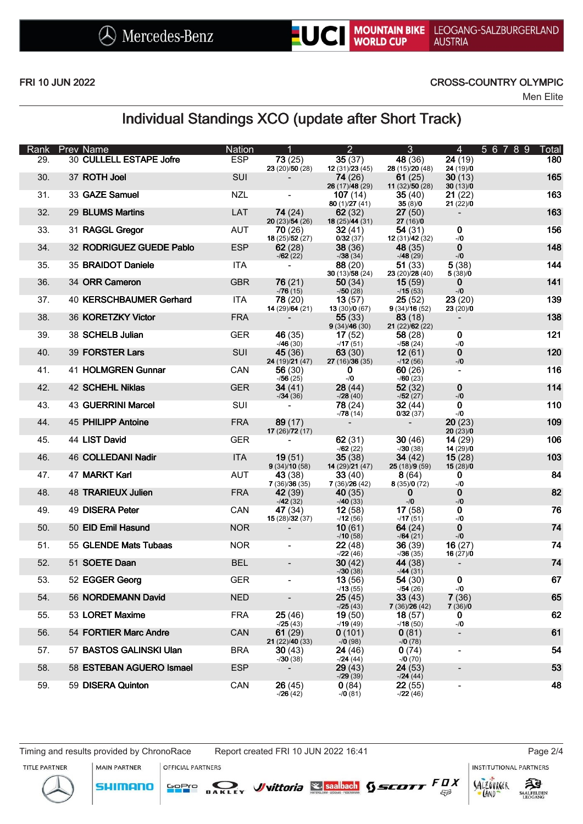

LEOGANG-SALZBURGERLAND **AUSTRIA** 

#### FRI 10 JUN 2022 CROSS-COUNTRY OLYMPIC

Men Elite

### Individual Standings XCO (update after Short Track)

| Rank | <b>Prev Name</b>          | <b>Nation</b> |                            | $\overline{2}$                   | $\mathbf{3}$                        | $\overline{4}$               | 56789<br>Total |
|------|---------------------------|---------------|----------------------------|----------------------------------|-------------------------------------|------------------------------|----------------|
| 29.  | 30 CULLELL ESTAPE Jofre   | <b>ESP</b>    | 73(25)<br>23 (20)/50 (28)  | 35(37)<br>12(31)/23(45)          | 48 (36)<br>28 (15)/20 (48)          | 24(19)<br>24(19)/0           | 180            |
| 30.  | 37 ROTH Joel              | SUI           |                            | 74(26)                           | 61 $(25)$                           | 30(13)                       | 165            |
| 31.  | 33 GAZE Samuel            | <b>NZL</b>    |                            | 26 (17)/48 (29)<br>107(14)       | 11 $(32)/50(28)$<br>35(40)          | 30(13)/0<br>21(22)           | 163            |
| 32.  | 29 BLUMS Martins          | LAT           | 74(24)                     | 80(1)/27(41)<br>62(32)           | 35(8)/0<br>27(50)                   | 21(22)/0                     | 163            |
| 33.  | 31 RAGGL Gregor           | AUT           | 20(23)/54(26)<br>70 (26)   | 18 $(25)/44(31)$<br>32(41)       | 27(16)/0<br>54(31)                  | 0                            | 156            |
|      |                           |               | 18 $(25)/52(27)$           | 0/32(37)                         | 12(31)/42(32)                       | $-10$                        |                |
| 34.  | 32 RODRIGUEZ GUEDE Pablo  | <b>ESP</b>    | 62(28)<br>$-162(22)$       | 38(36)<br>$-738(34)$             | 48(35)<br>$-48(29)$                 | $\mathbf 0$<br>$-10$         | 148            |
| 35.  | 35 BRAIDOT Daniele        | <b>ITA</b>    | $\overline{\phantom{a}}$   | 88(20)<br>30 $(13)/58(24)$       | 51(33)<br>23 (20)/28 (40)           | 5(38)<br>5(38)/0             | 144            |
| 36.  | 34 ORR Cameron            | <b>GBR</b>    | 76(21)<br>$-76(15)$        | 50(34)<br>$-750(28)$             | 15(59)<br>$-15(53)$                 | $\mathbf{0}$<br>$-10$        | 141            |
| 37.  | 40 KERSCHBAUMER Gerhard   | <b>ITA</b>    | 78(20)                     | 13(57)                           | 25(52)                              | 23(20)                       | 139            |
| 38.  | 36 KORETZKY Victor        | <b>FRA</b>    | 14 (29)/64 (21)            | 13(30)/0(67)<br>55(33)           | 9(34)/16(52)<br>83(18)              | 23(20)/0                     | 138            |
| 39.  | 38 SCHELB Julian          | GER.          | 46 (35)                    | 9(34)/46(30)<br>17(52)           | 21(22)/62(22)<br>58(28)             | 0                            | 121            |
| 40.  | 39 FORSTER Lars           | SUI           | $-46(30)$<br>45(36)        | $-17(51)$<br>63(30)              | $-158(24)$<br>12(61)                | $-10$<br>$\mathbf 0$         | 120            |
|      |                           |               | 24 (19)/21 (47)            | 27(16)/36(35)                    | $-12(56)$                           | $\mathord{\text{--}}/0$      |                |
| 41.  | 41 HOLMGREN Gunnar        | CAN           | 56(30)<br>$-756(25)$       | $\mathbf{0}$<br>$-1/0$           | 60(26)<br>$-760(23)$                |                              | 116            |
| 42.  | <b>42 SCHEHL Niklas</b>   | <b>GER</b>    | 34(41)<br>$-34(36)$        | 28(44)<br>$-28(40)$              | 52(32)<br>$-152(27)$                | 0<br>$\mathord{\text{--}}/0$ | 114            |
| 43.  | <b>43 GUERRINI Marcel</b> | SUI           | $\blacksquare$             | 78(24)                           | 32(44)                              | $\mathbf 0$                  | 110            |
| 44.  | 45 PHILIPP Antoine        | <b>FRA</b>    | 89(17)<br>17 $(26)/72(17)$ | $-78(14)$                        | 0/32(37)                            | $-10$<br>20(23)<br>20(23)/0  | 109            |
| 45.  | 44 LIST David             | <b>GER</b>    |                            | 62(31)<br>$-162(22)$             | 30(46)<br>$-30(38)$                 | 14(29)<br>14(29)/0           | 106            |
| 46.  | <b>46 COLLEDANI Nadir</b> | <b>ITA</b>    | 19(51)<br>9(34)/10(58)     | 35(38)<br>14 $(29)/21(47)$       | 34 $(42)$<br>25(18)/9(59)           | 15(28)<br>15(28)/0           | 103            |
| 47.  | 47 MARKT Karl             | AUT           | 43(38)                     | 33(40)                           | 8(64)                               | $\mathbf 0$                  | 84             |
| 48.  | <b>48 TRARIEUX Julien</b> | <b>FRA</b>    | 7(36)/36(35)<br>42 (39)    | 7(36)/26(42)<br>40(35)           | 8(35)/0(72)<br>0                    | $-10$<br>0                   | 82             |
| 49.  | 49 DISERA Peter           | CAN           | $-42(32)$<br>47 (34)       | $-40(33)$<br>12(58)              | $-10$<br>17(58)                     | $-10$<br>0                   | 76             |
| 50.  | 50 EID Emil Hasund        | <b>NOR</b>    | 15(28)/32(37)              | $-12(56)$<br>10(61)              | $-17(51)$<br>64(24)                 | $-10$<br>0                   | 74             |
|      |                           |               |                            | $-710(58)$                       | $-164(21)$                          | $-10$                        |                |
| 51.  | 55 GLENDE Mats Tubaas     | <b>NOR</b>    | $\overline{\phantom{a}}$   | 22(48)<br>$-22(46)$              | 36(39)<br>$-36(35)$                 | 16(27)<br>16(27)/0           | 74             |
| 52.  | 51 SOETE Daan             | <b>BEL</b>    | $\overline{\phantom{a}}$   | 30(42)<br>$-730(38)$             | <b>44</b> (38)<br>$-44(31)$         |                              | 74             |
| 53.  | 52 EGGER Georg            | <b>GER</b>    | $\blacksquare$             | 13(56)<br>$-13(55)$              | 54(30)<br>$-154(26)$                | 0<br>$-10$                   | 67             |
| 54.  | 56 NORDEMANN David        | <b>NED</b>    | $\overline{\phantom{a}}$   | 25(45)                           | 33(43)                              | 7(36)                        | 65             |
| 55.  | 53 LORET Maxime           | <b>FRA</b>    | 25 (46)<br>$-25(43)$       | $-25(43)$<br>19(50)<br>$-19(49)$ | 7(36)/26(42)<br>18(57)<br>$-18(50)$ | 7(36)/0<br>0<br>$-10$        | 62             |
| 56.  | 54 FORTIER Marc Andre     | CAN           | 61(29)<br>21(22)/40(33)    | 0(101)<br>$-70(98)$              | 0(81)<br>$-70(78)$                  | $\overline{\phantom{a}}$     | 61             |
| 57.  | 57 BASTOS GALINSKI Ulan   | <b>BRA</b>    | 30(43)<br>$-730(38)$       | 24(46)<br>$-124(44)$             | 0(74)<br>$-70(70)$                  | $\blacksquare$               | 54             |
| 58.  | 58 ESTEBAN AGUERO Ismael  | <b>ESP</b>    | $\blacksquare$             | 29(43)                           | 24(53)                              | $\overline{\phantom{a}}$     | 53             |
| 59.  | 59 DISERA Quinton         | CAN           | 26 (45)<br>$-26(42)$       | $-29(39)$<br>0(84)<br>$-70(81)$  | $-124(44)$<br>22(55)<br>$-22(46)$   | $\overline{a}$               | 48             |

Timing and results provided by ChronoRace Report created FRI 10 JUN 2022 16:41 Page 2/4

**MAIN PARTNER** 

**SHIMANO** 

**OFFICIAL PARTNERS** 

**GoPro** 

**INSTITUTIONAL PARTNERS** 

TITLE PARTNER





 $53$ 

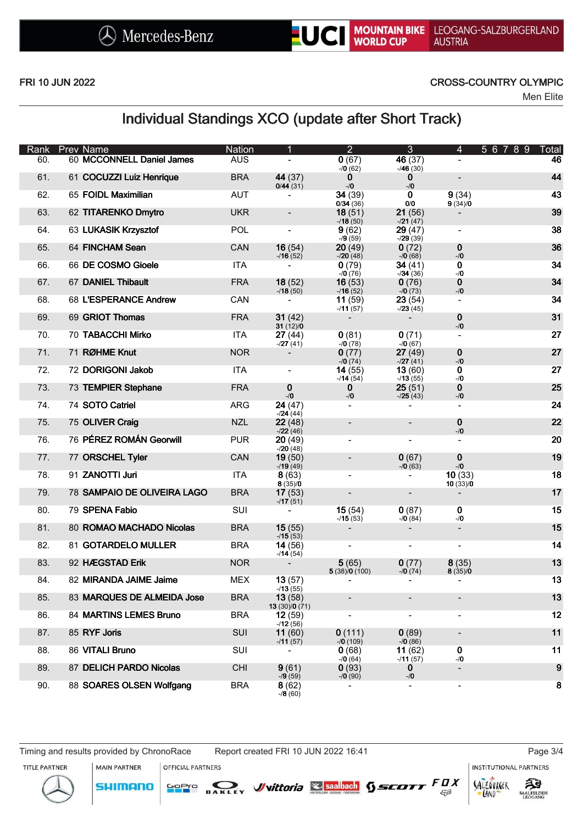

#### FRI 10 JUN 2022 CROSS-COUNTRY OLYMPIC

Men Elite

### Individual Standings XCO (update after Short Track)

| Rank | <b>Prev Name</b>            | <b>Nation</b> |                                  | $\overline{2}$                    | 3                        | 4                            | 5 6 7 8 9<br>Total |
|------|-----------------------------|---------------|----------------------------------|-----------------------------------|--------------------------|------------------------------|--------------------|
| 60.  | 60 MCCONNELL Daniel James   | <b>AUS</b>    |                                  | 0(67)<br>$-70(62)$                | 46 (37)<br>$-46(30)$     |                              | 46                 |
| 61.  | 61 COCUZZI Luiz Henrique    | <b>BRA</b>    | 44 (37)<br>0/44(31)              | $\bf{0}$<br>$-10$                 | 0<br>$-10$               | $\overline{\phantom{a}}$     | 44                 |
| 62.  | 65 FOIDL Maximilian         | <b>AUT</b>    |                                  | 34(39)<br>0/34(36)                | 0<br>0/0                 | 9(34)<br>9(34)/0             | 43                 |
| 63.  | 62 TITARENKO Dmytro         | <b>UKR</b>    | $\overline{\phantom{a}}$         | 18(51)                            | 21(56)                   |                              | 39                 |
| 64.  | 63 LUKASIK Krzysztof        | <b>POL</b>    | $\overline{\phantom{a}}$         | $-18(50)$<br>9(62)                | $-21(47)$<br>29(47)      | $\blacksquare$               | 38                 |
| 65.  | 64 FINCHAM Sean             | CAN           | 16(54)                           | $-79(59)$<br>20(49)               | $-29(39)$<br>0(72)       | 0                            | 36                 |
| 66.  | 66 DE COSMO Gioele          | <b>ITA</b>    | $-16(52)$<br>$\blacksquare$      | $-20(48)$<br>0(79)                | $-70(68)$<br>34 (41)     | $-10$<br>$\mathbf 0$         | 34                 |
| 67.  | 67 DANIEL Thibault          | <b>FRA</b>    | 18(52)                           | $-70(76)$<br>16(53)               | $-134(36)$<br>0(76)      | $-10$<br>0<br>$-10$          | 34                 |
| 68.  | 68 L'ESPERANCE Andrew       | CAN           | $-18(50)$<br>$\blacksquare$      | $-16(52)$<br>11(59)               | $-70(73)$<br>23(54)      |                              | 34                 |
| 69.  | 69 GRIOT Thomas             | <b>FRA</b>    | 31(42)<br>31(12)/0               | $-11(57)$                         | $-23(45)$                | 0<br>$-/-0$                  | 31                 |
| 70.  | 70 TABACCHI Mirko           | <b>ITA</b>    | 27 (44)                          | 0(81)                             | 0(71)                    |                              | 27                 |
| 71.  | 71 RØHME Knut               | <b>NOR</b>    | $-27(41)$                        | $-70(78)$<br>0(77)<br>$-70(74)$   | $-70(67)$<br>27(49)      | 0                            | 27                 |
| 72.  | 72 DORIGONI Jakob           | <b>ITA</b>    | $\overline{\phantom{a}}$         | 14(55)                            | $-27(41)$<br>13(60)      | $-/-0$<br>0                  | 27                 |
| 73.  | 73 TEMPIER Stephane         | <b>FRA</b>    | 0                                | $-114(54)$<br>$\bf{0}$            | $-13(55)$<br>25(51)      | $-10$<br>0                   | 25                 |
| 74.  | 74 SOTO Catriel             | <b>ARG</b>    | $-10$<br>24 (47)                 | $-10$<br>$\overline{\phantom{a}}$ | $-25(43)$                | $-10$                        | 24                 |
| 75.  | 75 OLIVER Craig             | <b>NZL</b>    | $-124(44)$<br>22(48)             | $\overline{\phantom{a}}$          |                          | 0                            | 22                 |
| 76.  | 76 PÉREZ ROMÁN Georwill     | <b>PUR</b>    | $-22(46)$<br>20(49)<br>$-20(48)$ | $\overline{\phantom{a}}$          |                          | $-10$                        | 20                 |
| 77.  | 77 ORSCHEL Tyler            | CAN           | 19(50)<br>$-19(49)$              |                                   | 0(67)                    | 0<br>$-10$                   | 19                 |
| 78.  | 91 ZANOTTI Juri             | <b>ITA</b>    | 8(63)<br>8(35)/0                 | $\overline{\phantom{0}}$          | $-70(63)$                | 10(33)                       | 18                 |
| 79.  | 78 SAMPAIO DE OLIVEIRA LAGO | <b>BRA</b>    | 17(53)                           | $\overline{\phantom{a}}$          |                          | 10(33)/0                     | 17                 |
| 80.  | 79 SPENA Fabio              | <b>SUI</b>    | $-17(51)$<br>$\blacksquare$      | 15(54)                            | 0(87)                    | 0<br>$-10$                   | 15                 |
| 81.  | 80 ROMAO MACHADO Nicolas    | <b>BRA</b>    | 15(55)<br>$-15(53)$              | $-15(53)$                         | $-70(84)$                | $\overline{\phantom{a}}$     | 15                 |
| 82.  | 81 GOTARDELO MULLER         | <b>BRA</b>    | 14(56)<br>$-14(54)$              |                                   |                          | $\qquad \qquad \blacksquare$ | 14                 |
| 83.  | 92 HÆGSTAD Erik             | <b>NOR</b>    |                                  | 5(65)<br>5(38)/0(100)             | 0(77)<br>$-70(74)$       | 8(35)<br>8(35)/0             | 13                 |
| 84.  | 82 MIRANDA JAIME Jaime      | <b>MEX</b>    | 13(57)<br>$-13(55)$              |                                   |                          |                              | 13                 |
| 85.  | 83 MARQUES DE ALMEIDA Jose  | <b>BRA</b>    | 13(58)<br>13(30)/0(71)           |                                   |                          | -                            | 13                 |
| 86.  | 84 MARTINS LEMES Bruno      | <b>BRA</b>    | 12(59)<br>$-12(56)$              |                                   |                          | $\overline{\phantom{0}}$     | 12                 |
| 87.  | 85 RYF Joris                | <b>SUI</b>    | 11(60)<br>$-11 (57)$             | 0(111)<br>$-70(109)$              | 0(89)<br>$-70(86)$       | $\overline{\phantom{a}}$     | 11                 |
| 88.  | 86 VITALI Bruno             | SUI           |                                  | 0(68)<br>$-70(64)$                | 11(62)<br>$-11(57)$      | $\mathbf 0$<br>$-10$         | 11                 |
| 89.  | 87 DELICH PARDO Nicolas     | <b>CHI</b>    | 9(61)<br>$-79(59)$               | 0(93)<br>$-70(90)$                | 0<br>$-10$               | $\overline{\phantom{a}}$     | 9                  |
| 90.  | 88 SOARES OLSEN Wolfgang    | <b>BRA</b>    | 8(62)<br>$-78(60)$               | $\overline{\phantom{a}}$          | $\overline{\phantom{a}}$ | $\overline{\phantom{a}}$     | 8                  |

Timing and results provided by ChronoRace Report created FRI 10 JUN 2022 16:41 Page 3/4

**INSTITUTIONAL PARTNERS** 

TITLE PARTNER



**MAIN PARTNER OFFICIAL PARTNERS GoPro**